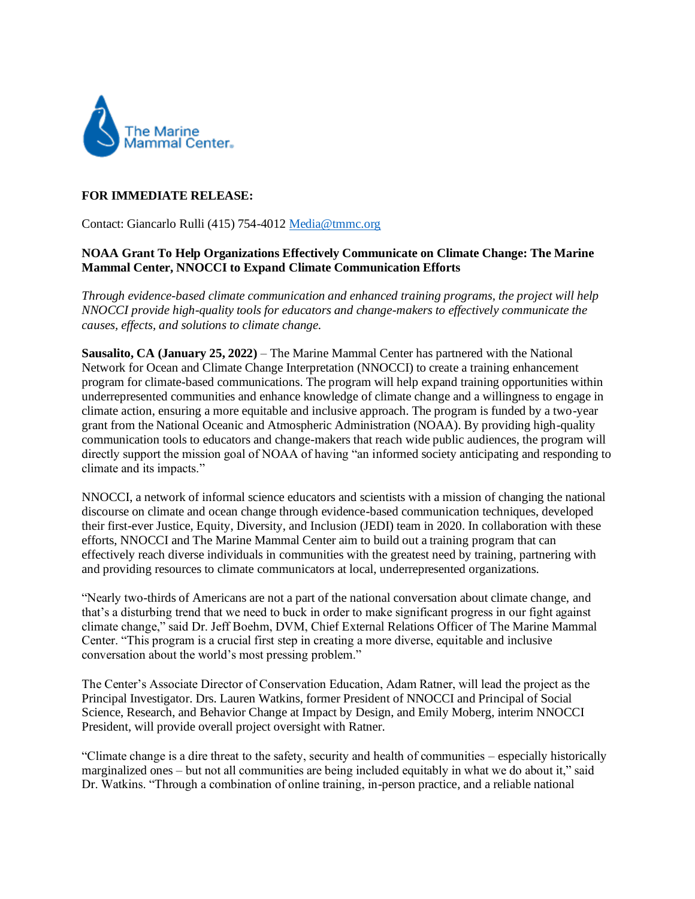

## **FOR IMMEDIATE RELEASE:**

Contact: Giancarlo Rulli (415) 754-4012 [Media@tmmc.org](mailto:Media@tmmc.org) 

## **NOAA Grant To Help Organizations Effectively Communicate on Climate Change: The Marine Mammal Center, NNOCCI to Expand Climate Communication Efforts**

*Through evidence-based climate communication and enhanced training programs, the project will help NNOCCI provide high-quality tools for educators and change-makers to effectively communicate the causes, effects, and solutions to climate change.* 

**Sausalito, CA (January 25, 2022)** – The Marine Mammal Center has partnered with the National Network for Ocean and Climate Change Interpretation (NNOCCI) to create a training enhancement program for climate-based communications. The program will help expand training opportunities within underrepresented communities and enhance knowledge of climate change and a willingness to engage in climate action, ensuring a more equitable and inclusive approach. The program is funded by a two-year grant from the National Oceanic and Atmospheric Administration (NOAA). By providing high-quality communication tools to educators and change-makers that reach wide public audiences, the program will directly support the mission goal of NOAA of having "an informed society anticipating and responding to climate and its impacts."

NNOCCI, a network of informal science educators and scientists with a mission of changing the national discourse on climate and ocean change through evidence-based communication techniques, developed their first-ever Justice, Equity, Diversity, and Inclusion (JEDI) team in 2020. In collaboration with these efforts, NNOCCI and The Marine Mammal Center aim to build out a training program that can effectively reach diverse individuals in communities with the greatest need by training, partnering with and providing resources to climate communicators at local, underrepresented organizations.

"Nearly two-thirds of Americans are not a part of the national conversation about climate change, and that's a disturbing trend that we need to buck in order to make significant progress in our fight against climate change," said Dr. Jeff Boehm, DVM, Chief External Relations Officer of The Marine Mammal Center. "This program is a crucial first step in creating a more diverse, equitable and inclusive conversation about the world's most pressing problem."

The Center's Associate Director of Conservation Education, Adam Ratner, will lead the project as the Principal Investigator. Drs. Lauren Watkins, former President of NNOCCI and Principal of Social Science, Research, and Behavior Change at Impact by Design, and Emily Moberg, interim NNOCCI President, will provide overall project oversight with Ratner.

"Climate change is a dire threat to the safety, security and health of communities – especially historically marginalized ones – but not all communities are being included equitably in what we do about it," said Dr. Watkins. "Through a combination of online training, in-person practice, and a reliable national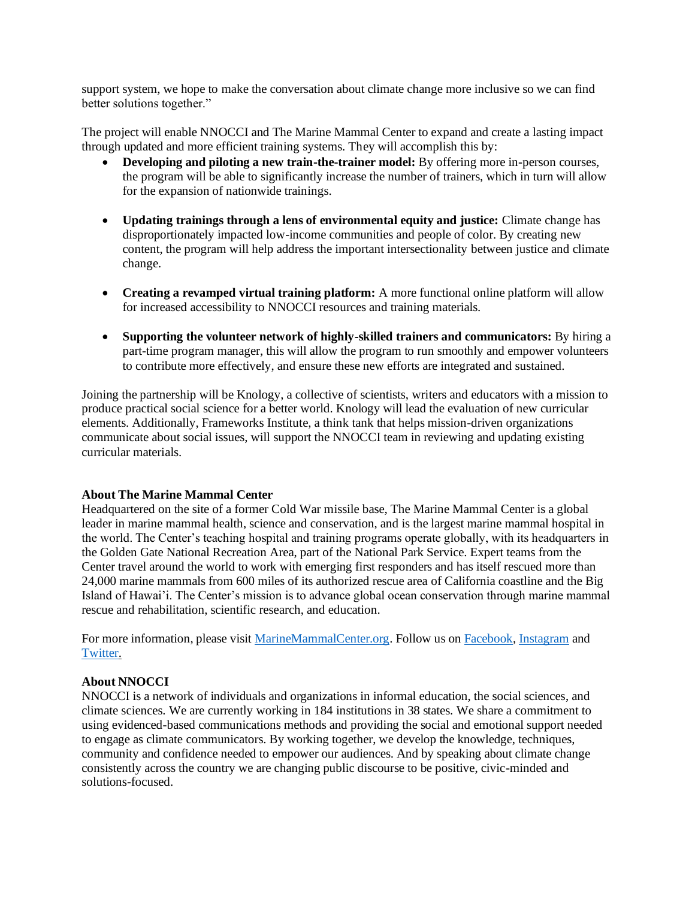support system, we hope to make the conversation about climate change more inclusive so we can find better solutions together."

The project will enable NNOCCI and The Marine Mammal Center to expand and create a lasting impact through updated and more efficient training systems. They will accomplish this by:

- **Developing and piloting a new train-the-trainer model:** By offering more in-person courses, the program will be able to significantly increase the number of trainers, which in turn will allow for the expansion of nationwide trainings.
- **Updating trainings through a lens of environmental equity and justice:** Climate change has disproportionately impacted low-income communities and people of color. By creating new content, the program will help address the important intersectionality between justice and climate change.
- **Creating a revamped virtual training platform:** A more functional online platform will allow for increased accessibility to NNOCCI resources and training materials.
- **Supporting the volunteer network of highly-skilled trainers and communicators:** By hiring a part-time program manager, this will allow the program to run smoothly and empower volunteers to contribute more effectively, and ensure these new efforts are integrated and sustained.

Joining the partnership will be Knology, a collective of scientists, writers and educators with a mission to produce practical social science for a better world. Knology will lead the evaluation of new curricular elements. Additionally, Frameworks Institute, a think tank that helps mission-driven organizations communicate about social issues, will support the NNOCCI team in reviewing and updating existing curricular materials.

## **About The Marine Mammal Center**

Headquartered on the site of a former Cold War missile base, The Marine Mammal Center is a global leader in marine mammal health, science and conservation, and is the largest marine mammal hospital in the world. The Center's teaching hospital and training programs operate globally, with its headquarters in the Golden Gate National Recreation Area, part of the National Park Service. Expert teams from the Center travel around the world to work with emerging first responders and has itself rescued more than 24,000 marine mammals from 600 miles of its authorized rescue area of California coastline and the Big Island of Hawai'i. The Center's mission is to advance global ocean conservation through marine mammal rescue and rehabilitation, scientific research, and education.

For more information, please visit [MarineMammalCenter.org.](https://urldefense.proofpoint.com/v2/url?u=http-3A__www.MarineMammalCenter.org&d=DwMF-g&c=B73tqXN8Ec0ocRmZHMCntw&r=2g-p5lRN2rtysEkqN2ls2cBg7-td9cHCJRQ2-m69zjw&m=WSfFSX28CEmMkmIyeYIBRvZkmvPKlN-Q2Ta7Wk90efE&s=zZOI70OeHQ0DrmJlHVXwf4aPCvkPiU_4bQFXHixtt8c&e=) Follow us o[n Facebook,](https://urldefense.proofpoint.com/v2/url?u=https-3A__www.facebook.com_themarinemammalcenter_&d=DwMF-g&c=B73tqXN8Ec0ocRmZHMCntw&r=2g-p5lRN2rtysEkqN2ls2cBg7-td9cHCJRQ2-m69zjw&m=WSfFSX28CEmMkmIyeYIBRvZkmvPKlN-Q2Ta7Wk90efE&s=mkuWI_jpGz6EPlAZAQcZA-Jxho-OBmu2q1Md4okYc9s&e=) [Instagram](https://urldefense.proofpoint.com/v2/url?u=https-3A__www.instagram.com_themarinemammalcenter_&d=DwMF-g&c=B73tqXN8Ec0ocRmZHMCntw&r=2g-p5lRN2rtysEkqN2ls2cBg7-td9cHCJRQ2-m69zjw&m=WSfFSX28CEmMkmIyeYIBRvZkmvPKlN-Q2Ta7Wk90efE&s=i5wvSq89AmJa_3Xl7SwdPH6MFgNwgqR26uXGallSIAE&e=) and [Twitter.](https://urldefense.proofpoint.com/v2/url?u=https-3A__twitter.com_TMMC&d=DwMF-g&c=B73tqXN8Ec0ocRmZHMCntw&r=2g-p5lRN2rtysEkqN2ls2cBg7-td9cHCJRQ2-m69zjw&m=WSfFSX28CEmMkmIyeYIBRvZkmvPKlN-Q2Ta7Wk90efE&s=K3rqDEZAJ4q4cLva0ANtRKhodswTEfG3G7CFpNNZs6k&e=)

## **About NNOCCI**

NNOCCI is a network of individuals and organizations in informal education, the social sciences, and climate sciences. We are currently working in 184 institutions in 38 states. We share a commitment to using evidenced-based communications methods and providing the social and emotional support needed to engage as climate communicators. By working together, we develop the knowledge, techniques, community and confidence needed to empower our audiences. And by speaking about climate change consistently across the country we are changing public discourse to be positive, civic-minded and solutions-focused.